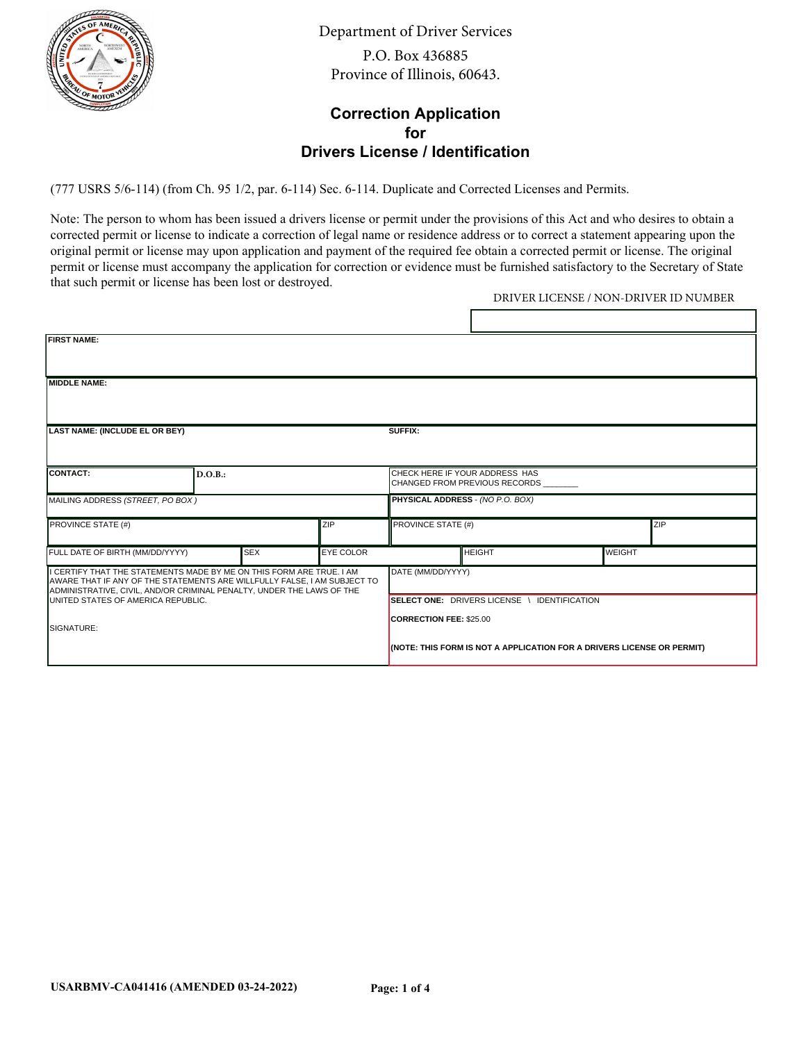

Department of Driver Services P.O. Box 436885 Province of Illinois, 60643.

### **Correction Application for Drivers License / Identification**

(777 USRS 5/6-114) (from Ch. 95 1/2, par. 6-114) Sec. 6-114. Duplicate and Corrected Licenses and Permits.

Note: The person to whom has been issued a drivers license or permit under the provisions of this Act and who desires to obtain a corrected permit or license to indicate a correction of legal name or residence address or to correct a statement appearing upon the original permit or license may upon application and payment of the required fee obtain a corrected permit or license. The original permit or license must accompany the application for correction or evidence must be furnished satisfactory to the Secretary of State that such permit or license has been lost or destroyed.

DRIVER LICENSE / NON-DRIVER ID NUMBER

| <b>FIRST NAME:</b>                                                                                                                                                                                                                                                                   |         |            |                  |                                                                                                          |                                                                  |               |  |  |
|--------------------------------------------------------------------------------------------------------------------------------------------------------------------------------------------------------------------------------------------------------------------------------------|---------|------------|------------------|----------------------------------------------------------------------------------------------------------|------------------------------------------------------------------|---------------|--|--|
| <b>IMIDDLE NAME:</b>                                                                                                                                                                                                                                                                 |         |            |                  |                                                                                                          |                                                                  |               |  |  |
| LAST NAME: (INCLUDE EL OR BEY)                                                                                                                                                                                                                                                       |         |            |                  | SUFFIX:                                                                                                  |                                                                  |               |  |  |
| CONTACT:                                                                                                                                                                                                                                                                             | D.O.B.: |            |                  |                                                                                                          | CHECK HERE IF YOUR ADDRESS HAS<br>ICHANGED FROM PREVIOUS RECORDS |               |  |  |
| MAILING ADDRESS (STREET, PO BOX)                                                                                                                                                                                                                                                     |         |            |                  | PHYSICAL ADDRESS - (NO P.O. BOX)                                                                         |                                                                  |               |  |  |
| PROVINCE STATE (#)                                                                                                                                                                                                                                                                   |         |            | ZIP              | <b>PROVINCE STATE (#)</b><br>ZIP                                                                         |                                                                  |               |  |  |
| FULL DATE OF BIRTH (MM/DD/YYYY)                                                                                                                                                                                                                                                      |         | <b>SEX</b> | <b>EYE COLOR</b> |                                                                                                          | Інеіснт                                                          | <b>WEIGHT</b> |  |  |
| I CERTIFY THAT THE STATEMENTS MADE BY ME ON THIS FORM ARE TRUE. I AM<br>AWARE THAT IF ANY OF THE STATEMENTS ARE WILLFULLY FALSE, I AM SUBJECT TO<br>ADMINISTRATIVE, CIVIL, AND/OR CRIMINAL PENALTY, UNDER THE LAWS OF THE<br>UNITED STATES OF AMERICA REPUBLIC.<br><b>SIGNATURE:</b> |         |            |                  | DATE (MM/DD/YYYY)                                                                                        |                                                                  |               |  |  |
|                                                                                                                                                                                                                                                                                      |         |            |                  | SELECT ONE: DRIVERS LICENSE \ IDENTIFICATION                                                             |                                                                  |               |  |  |
|                                                                                                                                                                                                                                                                                      |         |            |                  | <b>CORRECTION FEE: \$25.00</b><br>(NOTE: THIS FORM IS NOT A APPLICATION FOR A DRIVERS LICENSE OR PERMIT) |                                                                  |               |  |  |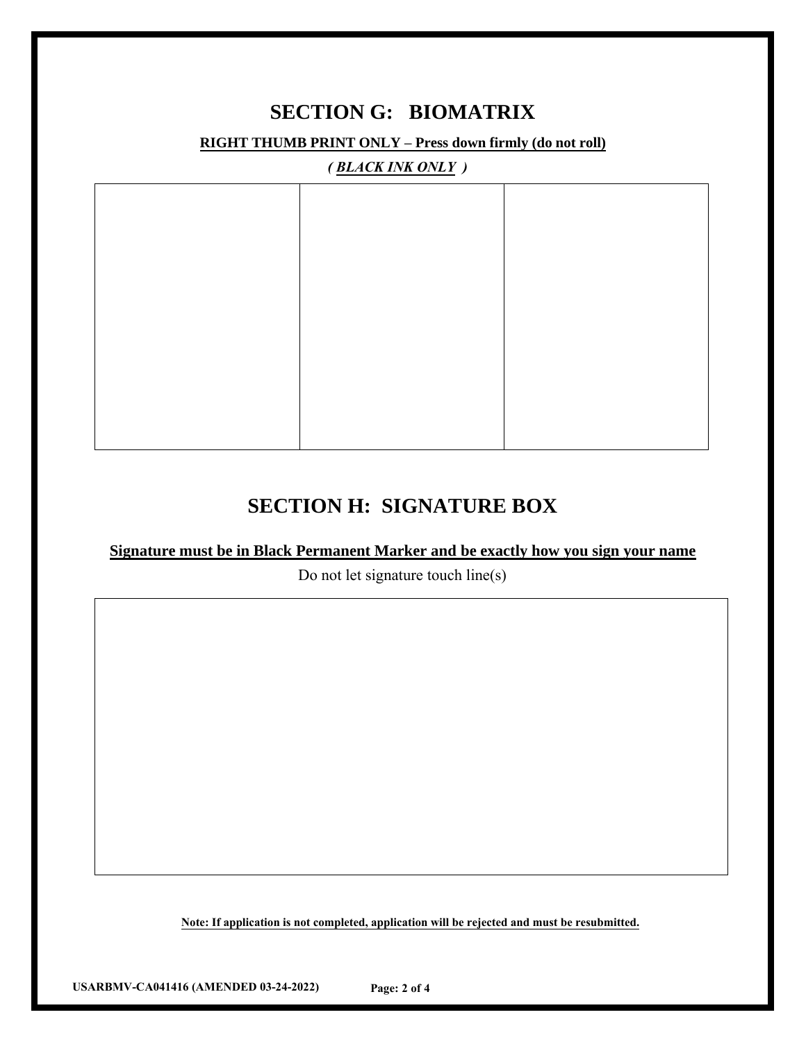### **SECTION G: BIOMATRIX**

**RIGHT THUMB PRINT ONLY – Press down firmly (do not roll)**

*( BLACK INK ONLY )*

## **SECTION H: SIGNATURE BOX**

#### **Signature must be in Black Permanent Marker and be exactly how you sign your name**

Do not let signature touch line(s)

**Note: If application is not completed, application will be rejected and must be resubmitted.**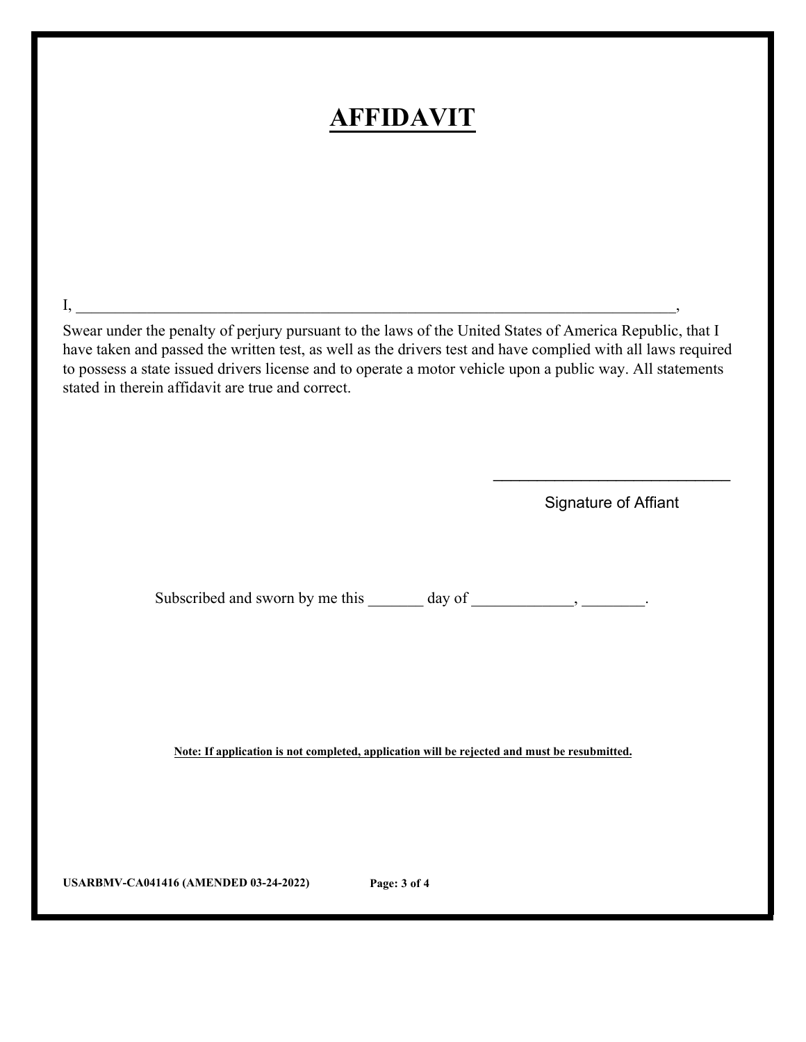## **AFFIDAVIT**

Swear under the penalty of perjury pursuant to the laws of the United States of America Republic, that I have taken and passed the written test, as well as the drivers test and have complied with all laws required to possess a state issued drivers license and to operate a motor vehicle upon a public way. All statements stated in therein affidavit are true and correct.

 $\mathrm{I}, \_\_\_\_\_\_\_$ 

Signature of Affiant

 $\overline{\phantom{a}}$  , where  $\overline{\phantom{a}}$  , where  $\overline{\phantom{a}}$  , where  $\overline{\phantom{a}}$  ,  $\overline{\phantom{a}}$  ,  $\overline{\phantom{a}}$  ,  $\overline{\phantom{a}}$  ,  $\overline{\phantom{a}}$  ,  $\overline{\phantom{a}}$  ,  $\overline{\phantom{a}}$  ,  $\overline{\phantom{a}}$  ,  $\overline{\phantom{a}}$  ,  $\overline{\phantom{a}}$  ,  $\overline{\phantom{a}}$  ,  $\overline{\phantom$ 

Subscribed and sworn by me this \_\_\_\_\_\_ day of \_\_\_\_\_\_\_\_\_, \_\_\_\_\_\_\_.

**Note: If application is not completed, application will be rejected and must be resubmitted.**

**USARBMV-CA041416 (AMENDED 03-24-2022) Page: 3 of 4**